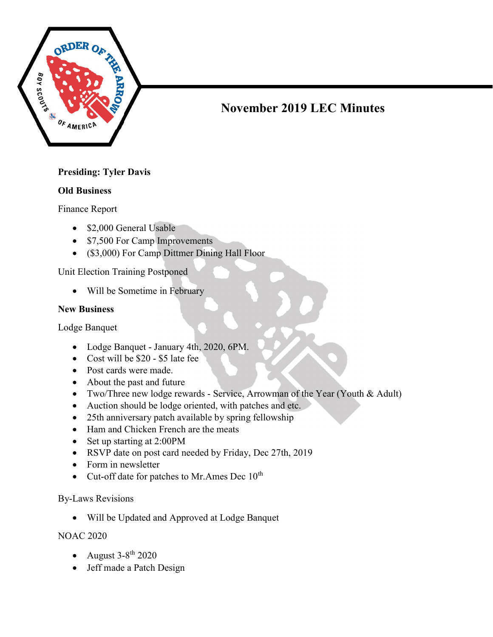

# November 2019 LEC Minutes

## Presiding: Tyler Davis

#### Old Business

Finance Report

- \$2,000 General Usable
- \$7,500 For Camp Improvements
- (\$3,000) For Camp Dittmer Dining Hall Floor

Unit Election Training Postponed

Will be Sometime in February

### New Business

Lodge Banquet

- Lodge Banquet January 4th, 2020, 6PM.
- Cost will be \$20 \$5 late fee
- Post cards were made.
- About the past and future
- Two/Three new lodge rewards Service, Arrowman of the Year (Youth & Adult)
- Auction should be lodge oriented, with patches and etc.
- 25th anniversary patch available by spring fellowship
- Ham and Chicken French are the meats
- Set up starting at 2:00PM
- RSVP date on post card needed by Friday, Dec 27th, 2019
- Form in newsletter
- Cut-off date for patches to Mr. Ames Dec  $10^{th}$

#### By-Laws Revisions

Will be Updated and Approved at Lodge Banquet

NOAC 2020

- August  $3-8^{th}$  2020
- Jeff made a Patch Design